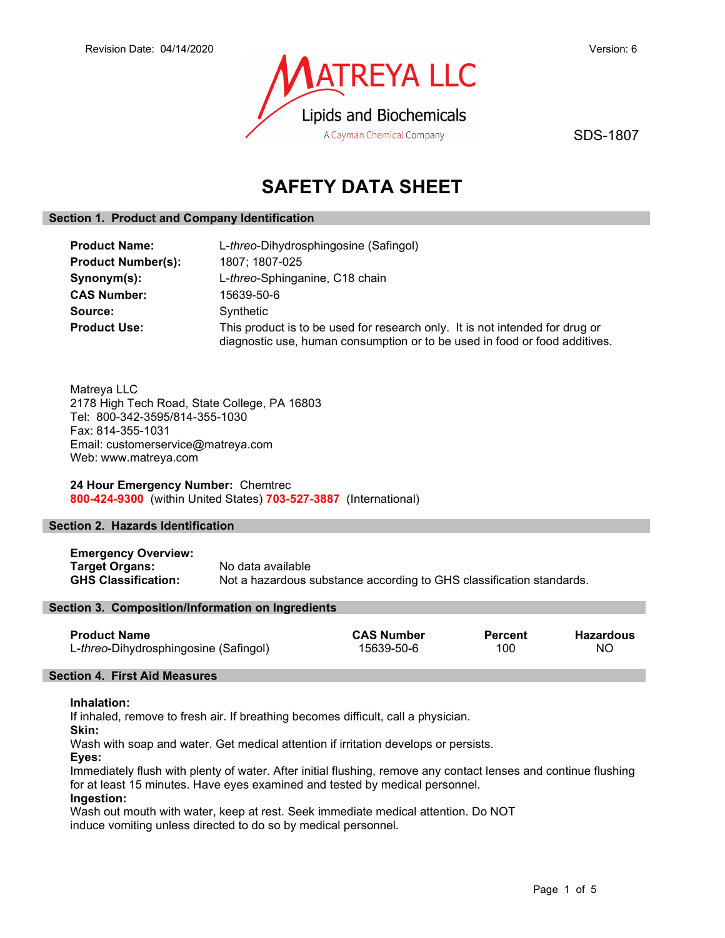

SDS-1807

# SAFETY DATA SHEET

# Section 1. Product and Company Identification

| <b>Product Name:</b>      | L-threo-Dihydrosphingosine (Safingol)                                                                                                                      |  |  |
|---------------------------|------------------------------------------------------------------------------------------------------------------------------------------------------------|--|--|
| <b>Product Number(s):</b> | 1807; 1807-025                                                                                                                                             |  |  |
| Synonym(s):               | L-threo-Sphinganine, C18 chain                                                                                                                             |  |  |
| <b>CAS Number:</b>        | 15639-50-6                                                                                                                                                 |  |  |
| Source:                   | Synthetic                                                                                                                                                  |  |  |
| <b>Product Use:</b>       | This product is to be used for research only. It is not intended for drug or<br>diagnostic use, human consumption or to be used in food or food additives. |  |  |

Matreya LLC 2178 High Tech Road, State College, PA 16803 Tel: 800-342-3595/814-355-1030 Fax: 814-355-1031 Email: customerservice@matreya.com Web: www.matreya.com

24 Hour Emergency Number: Chemtrec 800-424-9300 (within United States) 703-527-3887 (International)

# Section 2. Hazards Identification

Emergency Overview: Target Organs: No data available<br>
GHS Classification: Not a hazardous s Not a hazardous substance according to GHS classification standards.

# Section 3. Composition/Information on Ingredients

| <b>Product Name</b>                   | <b>CAS Number</b> | <b>Percent</b> | <b>Hazardous</b> |
|---------------------------------------|-------------------|----------------|------------------|
| L-threo-Dihydrosphingosine (Safingol) | 15639-50-6        | 100            | ΝO               |

# Section 4. First Aid Measures

## Inhalation:

If inhaled, remove to fresh air. If breathing becomes difficult, call a physician.

Skin:

Wash with soap and water. Get medical attention if irritation develops or persists.

Eyes:

Immediately flush with plenty of water. After initial flushing, remove any contact lenses and continue flushing for at least 15 minutes. Have eyes examined and tested by medical personnel.

# Ingestion:

Wash out mouth with water, keep at rest. Seek immediate medical attention. Do NOT induce vomiting unless directed to do so by medical personnel.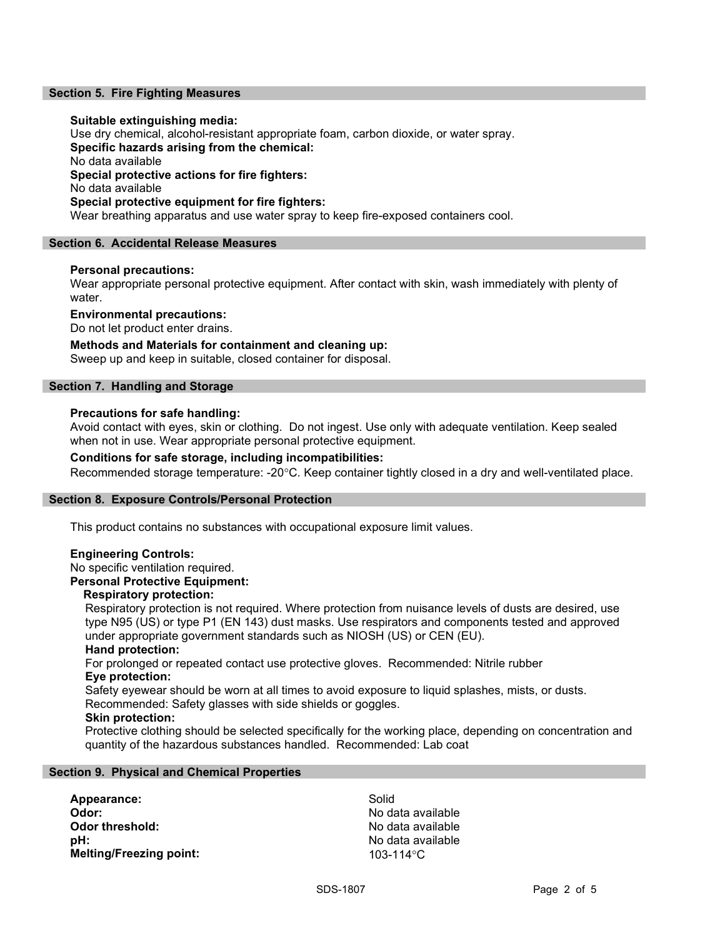# Section 5. Fire Fighting Measures

## Suitable extinguishing media:

Use dry chemical, alcohol-resistant appropriate foam, carbon dioxide, or water spray. Specific hazards arising from the chemical: No data available Special protective actions for fire fighters: No data available Special protective equipment for fire fighters: Wear breathing apparatus and use water spray to keep fire-exposed containers cool.

## Section 6. Accidental Release Measures

## Personal precautions:

Wear appropriate personal protective equipment. After contact with skin, wash immediately with plenty of water.

Environmental precautions:

Do not let product enter drains.

# Methods and Materials for containment and cleaning up:

Sweep up and keep in suitable, closed container for disposal.

# Section 7. Handling and Storage

## Precautions for safe handling:

Avoid contact with eyes, skin or clothing. Do not ingest. Use only with adequate ventilation. Keep sealed when not in use. Wear appropriate personal protective equipment.

# Conditions for safe storage, including incompatibilities:

Recommended storage temperature: -20°C. Keep container tightly closed in a dry and well-ventilated place.

#### Section 8. Exposure Controls/Personal Protection

This product contains no substances with occupational exposure limit values.

## Engineering Controls:

No specific ventilation required.

# Personal Protective Equipment:

# Respiratory protection:

Respiratory protection is not required. Where protection from nuisance levels of dusts are desired, use type N95 (US) or type P1 (EN 143) dust masks. Use respirators and components tested and approved under appropriate government standards such as NIOSH (US) or CEN (EU).

#### Hand protection:

For prolonged or repeated contact use protective gloves. Recommended: Nitrile rubber Eye protection:

Safety eyewear should be worn at all times to avoid exposure to liquid splashes, mists, or dusts. Recommended: Safety glasses with side shields or goggles.

#### Skin protection:

Protective clothing should be selected specifically for the working place, depending on concentration and quantity of the hazardous substances handled. Recommended: Lab coat

## Section 9. Physical and Chemical Properties

Appearance: Solid Odor: No data available pH:  $P$  and  $P$  and  $P$  are  $P$  and  $P$  are  $P$  and  $P$  are  $P$  and  $P$  are  $P$  and  $P$  and  $P$  are  $P$  and  $P$  and  $P$  and  $P$  and  $P$  and  $P$  and  $P$  and  $P$  and  $P$  and  $P$  and  $P$  and  $P$  and  $P$  and  $P$  and  $P$  and  $P$ Melting/Freezing point: 103-114°C

No data available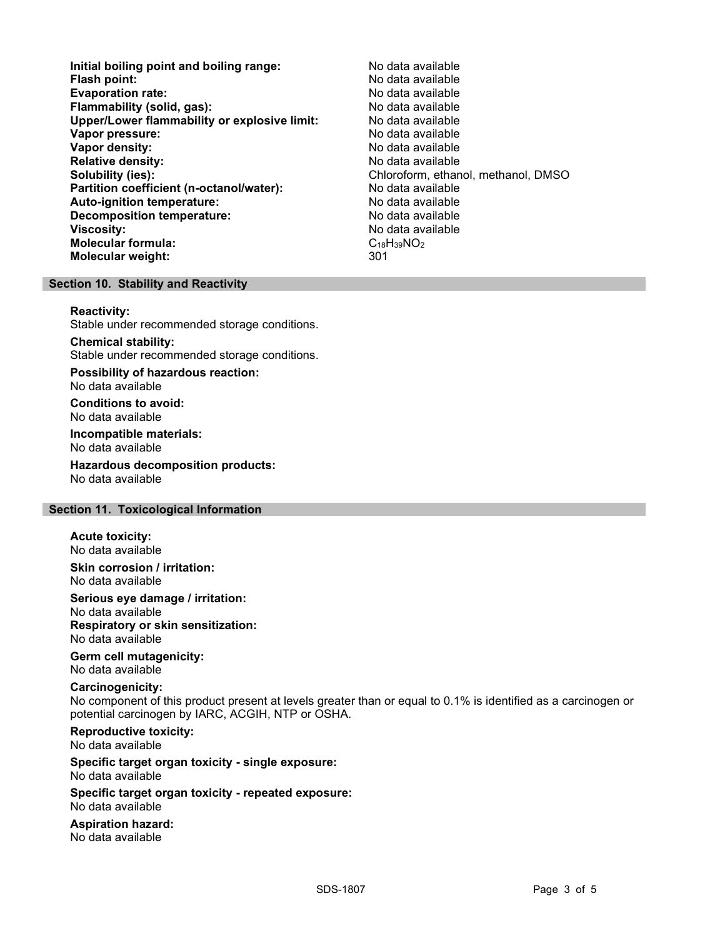- Initial boiling point and boiling range: No data available Flash point: No data available<br>
Evaporation rate: No data available Evaporation rate: Flammability (solid, gas): No data available Upper/Lower flammability or explosive limit: No data available **Vapor pressure:** No data available values and the values of the values of the values of the values of the values of the values of the values of the values of the values of the values of the values of the values of the val Vapor density: No data available Relative density: No data available Solubility (ies): Chloroform, ethanol, methanol, DMSO Partition coefficient (n-octanol/water): No data available<br>
Auto-ignition temperature: No data available Auto-ignition temperature: Decomposition temperature: No data available Viscosity: No data available Molecular formula: C18H39NO2 Molecular weight: 301
	-

# Section 10. Stability and Reactivity

Reactivity:

Stable under recommended storage conditions.

Chemical stability:

Stable under recommended storage conditions.

Possibility of hazardous reaction: No data available

Conditions to avoid: No data available

Incompatible materials: No data available

Hazardous decomposition products: No data available

# Section 11. Toxicological Information

Acute toxicity: No data available

Skin corrosion / irritation: No data available

Serious eye damage / irritation: No data available Respiratory or skin sensitization: No data available

Germ cell mutagenicity: No data available

## Carcinogenicity:

No component of this product present at levels greater than or equal to 0.1% is identified as a carcinogen or potential carcinogen by IARC, ACGIH, NTP or OSHA.

Reproductive toxicity:

No data available

#### Specific target organ toxicity - single exposure: No data available

Specific target organ toxicity - repeated exposure: No data available

Aspiration hazard: No data available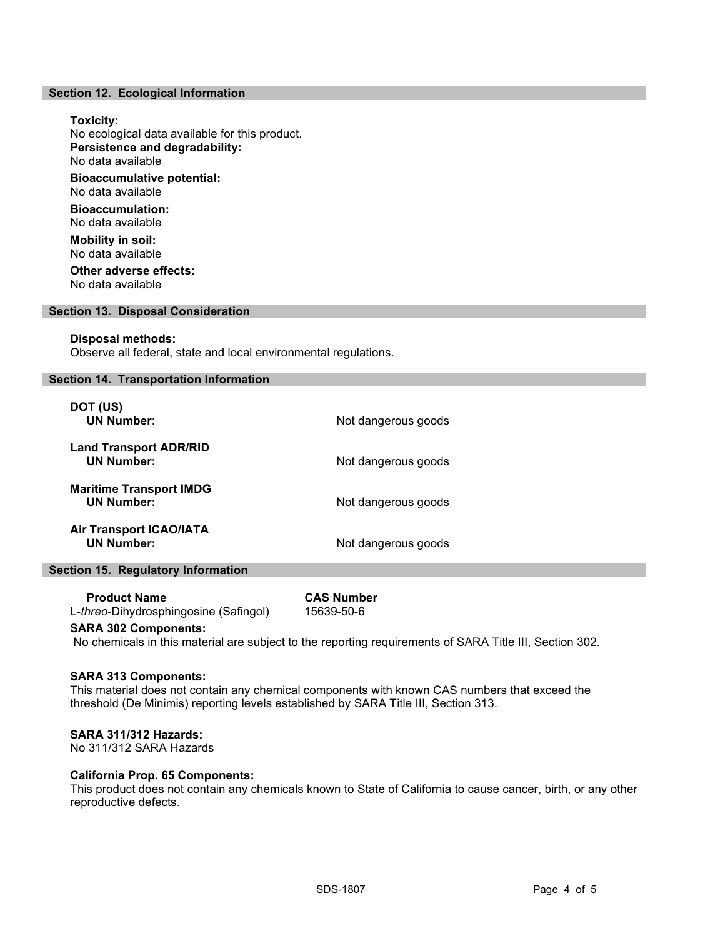## Section 12. Ecological Information

# Toxicity: No ecological data available for this product. Persistence and degradability: No data available Bioaccumulative potential: No data available Bioaccumulation: No data available Mobility in soil: No data available Other adverse effects: No data available

## Section 13. Disposal Consideration

## Disposal methods:

Observe all federal, state and local environmental regulations.

# Section 14. Transportation Information

| DOT (US)<br><b>UN Number:</b>                       | Not dangerous goods |
|-----------------------------------------------------|---------------------|
| <b>Land Transport ADR/RID</b><br><b>UN Number:</b>  | Not dangerous goods |
| <b>Maritime Transport IMDG</b><br><b>UN Number:</b> | Not dangerous goods |
| <b>Air Transport ICAO/IATA</b><br><b>UN Number:</b> | Not dangerous goods |

## Section 15. Regulatory Information

| <b>Product Name</b>                            | <b>CAS Number</b> |
|------------------------------------------------|-------------------|
| L- <i>threo</i> -Dihydrosphingosine (Safingol) | 15639-50-6        |

## SARA 302 Components:

No chemicals in this material are subject to the reporting requirements of SARA Title III, Section 302.

## SARA 313 Components:

This material does not contain any chemical components with known CAS numbers that exceed the threshold (De Minimis) reporting levels established by SARA Title III, Section 313.

# SARA 311/312 Hazards:

No 311/312 SARA Hazards

# California Prop. 65 Components:

This product does not contain any chemicals known to State of California to cause cancer, birth, or any other reproductive defects.